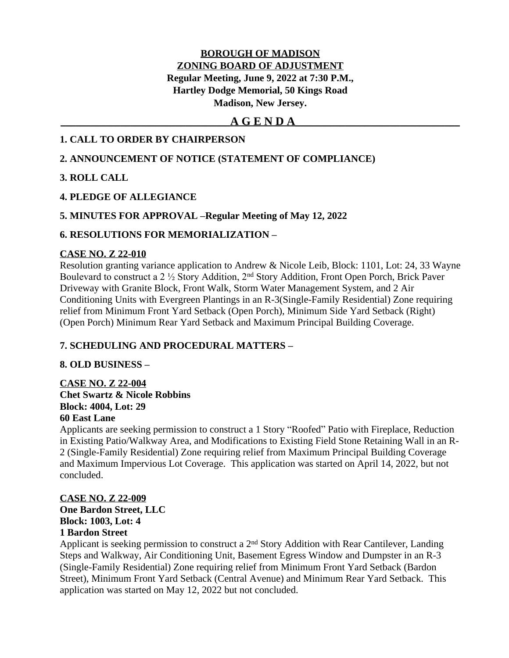# **BOROUGH OF MADISON ZONING BOARD OF ADJUSTMENT Regular Meeting, June 9, 2022 at 7:30 P.M., Hartley Dodge Memorial, 50 Kings Road Madison, New Jersey.**

# **\_\_\_\_\_\_\_\_\_\_\_\_\_\_\_\_\_\_\_\_\_\_\_\_\_\_\_\_\_\_\_\_\_\_A G E N D A\_\_\_\_\_\_\_\_\_\_\_\_\_\_\_\_\_\_\_\_\_\_\_\_\_\_\_\_\_\_\_\_\_**

# **1. CALL TO ORDER BY CHAIRPERSON**

# **2. ANNOUNCEMENT OF NOTICE (STATEMENT OF COMPLIANCE)**

## **3. ROLL CALL**

## **4. PLEDGE OF ALLEGIANCE**

## **5. MINUTES FOR APPROVAL –Regular Meeting of May 12, 2022**

## **6. RESOLUTIONS FOR MEMORIALIZATION –**

#### **CASE NO. Z 22-010**

Resolution granting variance application to Andrew & Nicole Leib, Block: 1101, Lot: 24, 33 Wayne Boulevard to construct a 2 ½ Story Addition, 2nd Story Addition, Front Open Porch, Brick Paver Driveway with Granite Block, Front Walk, Storm Water Management System, and 2 Air Conditioning Units with Evergreen Plantings in an R-3(Single-Family Residential) Zone requiring relief from Minimum Front Yard Setback (Open Porch), Minimum Side Yard Setback (Right) (Open Porch) Minimum Rear Yard Setback and Maximum Principal Building Coverage.

# **7. SCHEDULING AND PROCEDURAL MATTERS –**

#### **8. OLD BUSINESS –**

**CASE NO. Z 22-004 Chet Swartz & Nicole Robbins Block: 4004, Lot: 29 60 East Lane**

Applicants are seeking permission to construct a 1 Story "Roofed" Patio with Fireplace, Reduction in Existing Patio/Walkway Area, and Modifications to Existing Field Stone Retaining Wall in an R-2 (Single-Family Residential) Zone requiring relief from Maximum Principal Building Coverage and Maximum Impervious Lot Coverage. This application was started on April 14, 2022, but not concluded.

# **CASE NO. Z 22-009**

**One Bardon Street, LLC Block: 1003, Lot: 4 1 Bardon Street**

Applicant is seeking permission to construct a 2nd Story Addition with Rear Cantilever, Landing Steps and Walkway, Air Conditioning Unit, Basement Egress Window and Dumpster in an R-3 (Single-Family Residential) Zone requiring relief from Minimum Front Yard Setback (Bardon Street), Minimum Front Yard Setback (Central Avenue) and Minimum Rear Yard Setback. This application was started on May 12, 2022 but not concluded.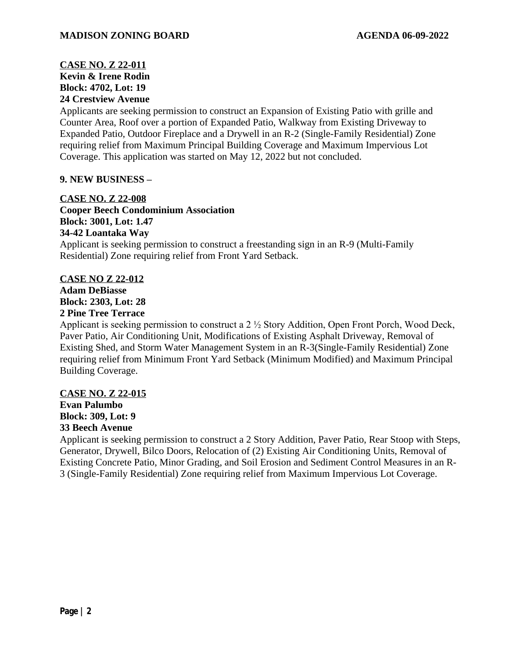# **CASE NO. Z 22-011 Kevin & Irene Rodin Block: 4702, Lot: 19 24 Crestview Avenue**

Applicants are seeking permission to construct an Expansion of Existing Patio with grille and Counter Area, Roof over a portion of Expanded Patio, Walkway from Existing Driveway to Expanded Patio, Outdoor Fireplace and a Drywell in an R-2 (Single-Family Residential) Zone requiring relief from Maximum Principal Building Coverage and Maximum Impervious Lot Coverage. This application was started on May 12, 2022 but not concluded.

# **9. NEW BUSINESS –**

#### **CASE NO. Z 22-008**

**Cooper Beech Condominium Association Block: 3001, Lot: 1.47 34-42 Loantaka Way** Applicant is seeking permission to construct a freestanding sign in an R-9 (Multi-Family Residential) Zone requiring relief from Front Yard Setback.

## **CASE NO Z 22-012**

**Adam DeBiasse Block: 2303, Lot: 28 2 Pine Tree Terrace**

Applicant is seeking permission to construct a 2 ½ Story Addition, Open Front Porch, Wood Deck, Paver Patio, Air Conditioning Unit, Modifications of Existing Asphalt Driveway, Removal of Existing Shed, and Storm Water Management System in an R-3(Single-Family Residential) Zone requiring relief from Minimum Front Yard Setback (Minimum Modified) and Maximum Principal Building Coverage.

# **CASE NO. Z 22-015**

#### **Evan Palumbo Block: 309, Lot: 9 33 Beech Avenue**

Applicant is seeking permission to construct a 2 Story Addition, Paver Patio, Rear Stoop with Steps, Generator, Drywell, Bilco Doors, Relocation of (2) Existing Air Conditioning Units, Removal of Existing Concrete Patio, Minor Grading, and Soil Erosion and Sediment Control Measures in an R-3 (Single-Family Residential) Zone requiring relief from Maximum Impervious Lot Coverage.